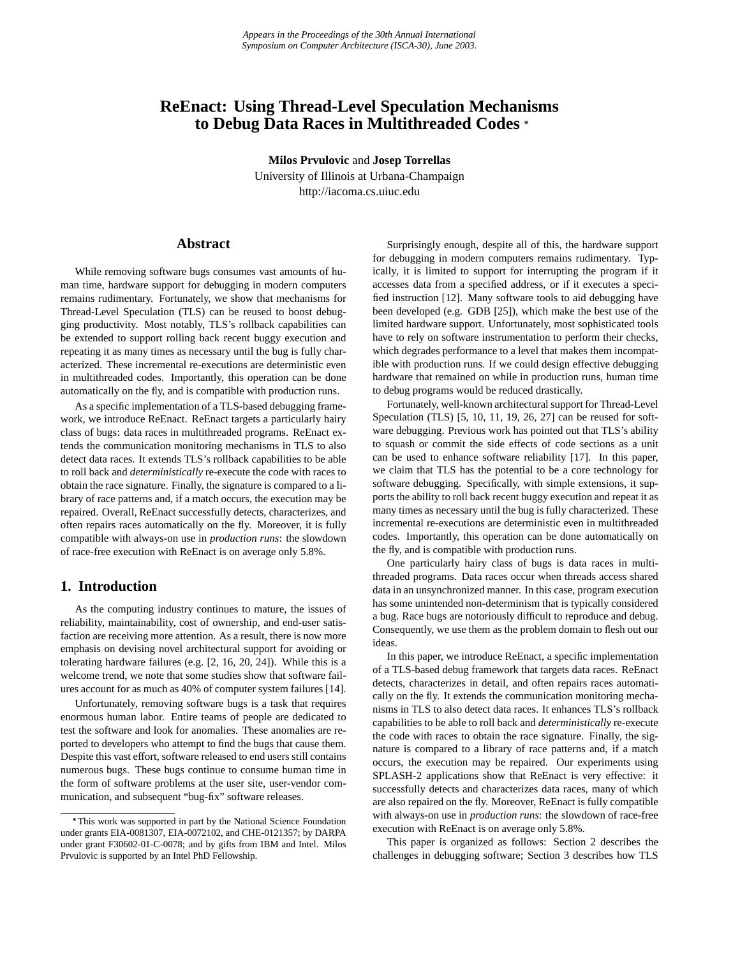# **ReEnact: Using Thread-Level Speculation Mechanisms to Debug Data Races in Multithreaded Codes**

**Milos Prvulovic** and **Josep Torrellas**

University of Illinois at Urbana-Champaign http://iacoma.cs.uiuc.edu

# **Abstract**

While removing software bugs consumes vast amounts of human time, hardware support for debugging in modern computers remains rudimentary. Fortunately, we show that mechanisms for Thread-Level Speculation (TLS) can be reused to boost debugging productivity. Most notably, TLS's rollback capabilities can be extended to support rolling back recent buggy execution and repeating it as many times as necessary until the bug is fully characterized. These incremental re-executions are deterministic even in multithreaded codes. Importantly, this operation can be done automatically on the fly, and is compatible with production runs.

As a specific implementation of a TLS-based debugging framework, we introduce ReEnact. ReEnact targets a particularly hairy class of bugs: data races in multithreaded programs. ReEnact extends the communication monitoring mechanisms in TLS to also detect data races. It extends TLS's rollback capabilities to be able to roll back and *deterministically* re-execute the code with races to obtain the race signature. Finally, the signature is compared to a library of race patterns and, if a match occurs, the execution may be repaired. Overall, ReEnact successfully detects, characterizes, and often repairs races automatically on the fly. Moreover, it is fully compatible with always-on use in *production runs*: the slowdown of race-free execution with ReEnact is on average only 5.8%.

# **1. Introduction**

As the computing industry continues to mature, the issues of reliability, maintainability, cost of ownership, and end-user satisfaction are receiving more attention. As a result, there is now more emphasis on devising novel architectural support for avoiding or tolerating hardware failures (e.g. [2, 16, 20, 24]). While this is a welcome trend, we note that some studies show that software failures account for as much as 40% of computer system failures [14].

Unfortunately, removing software bugs is a task that requires enormous human labor. Entire teams of people are dedicated to test the software and look for anomalies. These anomalies are reported to developers who attempt to find the bugs that cause them. Despite this vast effort, software released to end users still contains numerous bugs. These bugs continue to consume human time in the form of software problems at the user site, user-vendor communication, and subsequent "bug-fix" software releases.

Surprisingly enough, despite all of this, the hardware support for debugging in modern computers remains rudimentary. Typically, it is limited to support for interrupting the program if it accesses data from a specified address, or if it executes a specified instruction [12]. Many software tools to aid debugging have been developed (e.g. GDB [25]), which make the best use of the limited hardware support. Unfortunately, most sophisticated tools have to rely on software instrumentation to perform their checks, which degrades performance to a level that makes them incompatible with production runs. If we could design effective debugging hardware that remained on while in production runs, human time to debug programs would be reduced drastically.

Fortunately, well-known architectural support for Thread-Level Speculation (TLS) [5, 10, 11, 19, 26, 27] can be reused for software debugging. Previous work has pointed out that TLS's ability to squash or commit the side effects of code sections as a unit can be used to enhance software reliability [17]. In this paper, we claim that TLS has the potential to be a core technology for software debugging. Specifically, with simple extensions, it supports the ability to roll back recent buggy execution and repeat it as many times as necessary until the bug is fully characterized. These incremental re-executions are deterministic even in multithreaded codes. Importantly, this operation can be done automatically on the fly, and is compatible with production runs.

One particularly hairy class of bugs is data races in multithreaded programs. Data races occur when threads access shared data in an unsynchronized manner. In this case, program execution has some unintended non-determinism that is typically considered a bug. Race bugs are notoriously difficult to reproduce and debug. Consequently, we use them as the problem domain to flesh out our ideas.

In this paper, we introduce ReEnact, a specific implementation of a TLS-based debug framework that targets data races. ReEnact detects, characterizes in detail, and often repairs races automatically on the fly. It extends the communication monitoring mechanisms in TLS to also detect data races. It enhances TLS's rollback capabilities to be able to roll back and *deterministically* re-execute the code with races to obtain the race signature. Finally, the signature is compared to a library of race patterns and, if a match occurs, the execution may be repaired. Our experiments using SPLASH-2 applications show that ReEnact is very effective: it successfully detects and characterizes data races, many of which are also repaired on the fly. Moreover, ReEnact is fully compatible with always-on use in *production runs*: the slowdown of race-free execution with ReEnact is on average only 5.8%.

This paper is organized as follows: Section 2 describes the challenges in debugging software; Section 3 describes how TLS

This work was supported in part by the National Science Foundation under grants EIA-0081307, EIA-0072102, and CHE-0121357; by DARPA under grant F30602-01-C-0078; and by gifts from IBM and Intel. Milos Prvulovic is supported by an Intel PhD Fellowship.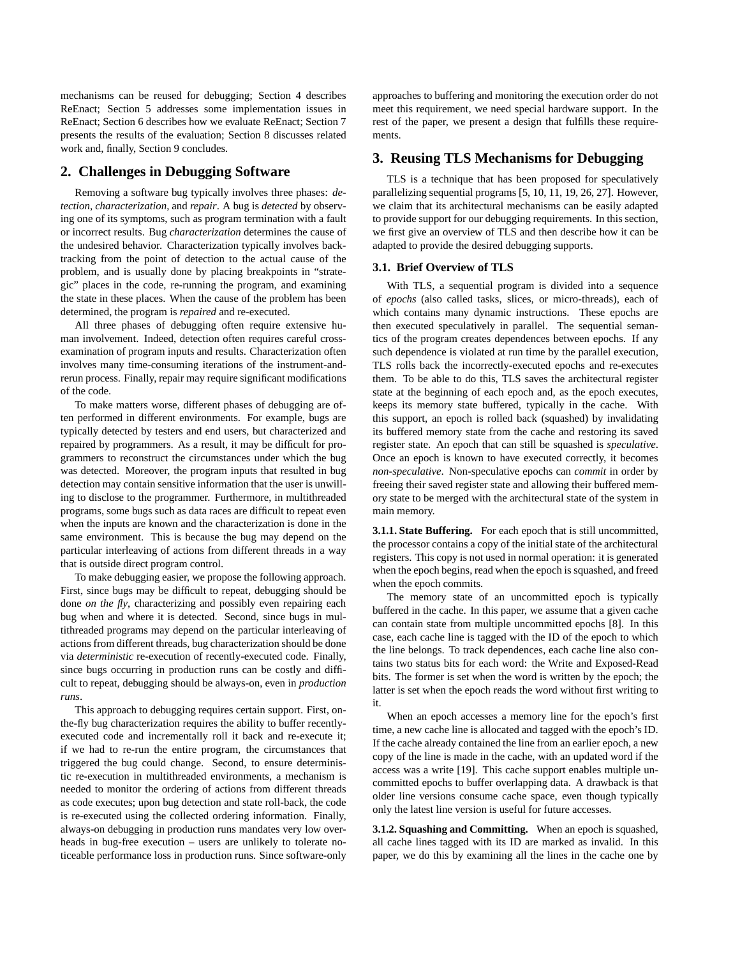mechanisms can be reused for debugging; Section 4 describes ReEnact; Section 5 addresses some implementation issues in ReEnact; Section 6 describes how we evaluate ReEnact; Section 7 presents the results of the evaluation; Section 8 discusses related work and, finally, Section 9 concludes.

# **2. Challenges in Debugging Software**

Removing a software bug typically involves three phases: *detection*, *characterization*, and *repair*. A bug is *detected* by observing one of its symptoms, such as program termination with a fault or incorrect results. Bug *characterization* determines the cause of the undesired behavior. Characterization typically involves backtracking from the point of detection to the actual cause of the problem, and is usually done by placing breakpoints in "strategic" places in the code, re-running the program, and examining the state in these places. When the cause of the problem has been determined, the program is *repaired* and re-executed.

All three phases of debugging often require extensive human involvement. Indeed, detection often requires careful crossexamination of program inputs and results. Characterization often involves many time-consuming iterations of the instrument-andrerun process. Finally, repair may require significant modifications of the code.

To make matters worse, different phases of debugging are often performed in different environments. For example, bugs are typically detected by testers and end users, but characterized and repaired by programmers. As a result, it may be difficult for programmers to reconstruct the circumstances under which the bug was detected. Moreover, the program inputs that resulted in bug detection may contain sensitive information that the user is unwilling to disclose to the programmer. Furthermore, in multithreaded programs, some bugs such as data races are difficult to repeat even when the inputs are known and the characterization is done in the same environment. This is because the bug may depend on the particular interleaving of actions from different threads in a way that is outside direct program control.

To make debugging easier, we propose the following approach. First, since bugs may be difficult to repeat, debugging should be done *on the fly*, characterizing and possibly even repairing each bug when and where it is detected. Second, since bugs in multithreaded programs may depend on the particular interleaving of actions from different threads, bug characterization should be done via *deterministic* re-execution of recently-executed code. Finally, since bugs occurring in production runs can be costly and difficult to repeat, debugging should be always-on, even in *production runs*.

This approach to debugging requires certain support. First, onthe-fly bug characterization requires the ability to buffer recentlyexecuted code and incrementally roll it back and re-execute it; if we had to re-run the entire program, the circumstances that triggered the bug could change. Second, to ensure deterministic re-execution in multithreaded environments, a mechanism is needed to monitor the ordering of actions from different threads as code executes; upon bug detection and state roll-back, the code is re-executed using the collected ordering information. Finally, always-on debugging in production runs mandates very low overheads in bug-free execution – users are unlikely to tolerate noticeable performance loss in production runs. Since software-only

approaches to buffering and monitoring the execution order do not meet this requirement, we need special hardware support. In the rest of the paper, we present a design that fulfills these requirements.

# **3. Reusing TLS Mechanisms for Debugging**

TLS is a technique that has been proposed for speculatively parallelizing sequential programs [5, 10, 11, 19, 26, 27]. However, we claim that its architectural mechanisms can be easily adapted to provide support for our debugging requirements. In this section, we first give an overview of TLS and then describe how it can be adapted to provide the desired debugging supports.

#### **3.1. Brief Overview of TLS**

With TLS, a sequential program is divided into a sequence of *epochs* (also called tasks, slices, or micro-threads), each of which contains many dynamic instructions. These epochs are then executed speculatively in parallel. The sequential semantics of the program creates dependences between epochs. If any such dependence is violated at run time by the parallel execution, TLS rolls back the incorrectly-executed epochs and re-executes them. To be able to do this, TLS saves the architectural register state at the beginning of each epoch and, as the epoch executes, keeps its memory state buffered, typically in the cache. With this support, an epoch is rolled back (squashed) by invalidating its buffered memory state from the cache and restoring its saved register state. An epoch that can still be squashed is *speculative*. Once an epoch is known to have executed correctly, it becomes *non-speculative*. Non-speculative epochs can *commit* in order by freeing their saved register state and allowing their buffered memory state to be merged with the architectural state of the system in main memory.

**3.1.1. State Buffering.** For each epoch that is still uncommitted, the processor contains a copy of the initial state of the architectural registers. This copy is not used in normal operation: it is generated when the epoch begins, read when the epoch is squashed, and freed when the epoch commits.

The memory state of an uncommitted epoch is typically buffered in the cache. In this paper, we assume that a given cache can contain state from multiple uncommitted epochs [8]. In this case, each cache line is tagged with the ID of the epoch to which the line belongs. To track dependences, each cache line also contains two status bits for each word: the Write and Exposed-Read bits. The former is set when the word is written by the epoch; the latter is set when the epoch reads the word without first writing to it.

When an epoch accesses a memory line for the epoch's first time, a new cache line is allocated and tagged with the epoch's ID. If the cache already contained the line from an earlier epoch, a new copy of the line is made in the cache, with an updated word if the access was a write [19]. This cache support enables multiple uncommitted epochs to buffer overlapping data. A drawback is that older line versions consume cache space, even though typically only the latest line version is useful for future accesses.

**3.1.2. Squashing and Committing.** When an epoch is squashed, all cache lines tagged with its ID are marked as invalid. In this paper, we do this by examining all the lines in the cache one by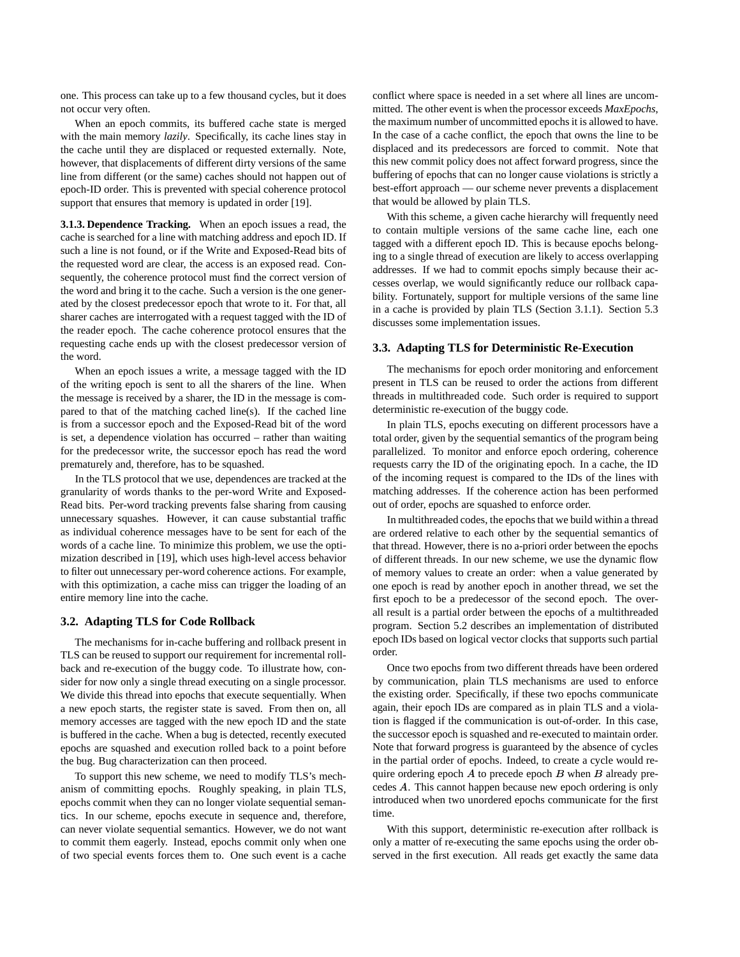one. This process can take up to a few thousand cycles, but it does not occur very often.

When an epoch commits, its buffered cache state is merged with the main memory *lazily*. Specifically, its cache lines stay in the cache until they are displaced or requested externally. Note, however, that displacements of different dirty versions of the same line from different (or the same) caches should not happen out of epoch-ID order. This is prevented with special coherence protocol support that ensures that memory is updated in order [19].

**3.1.3. Dependence Tracking.** When an epoch issues a read, the cache is searched for a line with matching address and epoch ID. If such a line is not found, or if the Write and Exposed-Read bits of the requested word are clear, the access is an exposed read. Consequently, the coherence protocol must find the correct version of the word and bring it to the cache. Such a version is the one generated by the closest predecessor epoch that wrote to it. For that, all sharer caches are interrogated with a request tagged with the ID of the reader epoch. The cache coherence protocol ensures that the requesting cache ends up with the closest predecessor version of the word.

When an epoch issues a write, a message tagged with the ID of the writing epoch is sent to all the sharers of the line. When the message is received by a sharer, the ID in the message is compared to that of the matching cached line(s). If the cached line is from a successor epoch and the Exposed-Read bit of the word is set, a dependence violation has occurred – rather than waiting for the predecessor write, the successor epoch has read the word prematurely and, therefore, has to be squashed.

In the TLS protocol that we use, dependences are tracked at the granularity of words thanks to the per-word Write and Exposed-Read bits. Per-word tracking prevents false sharing from causing unnecessary squashes. However, it can cause substantial traffic as individual coherence messages have to be sent for each of the words of a cache line. To minimize this problem, we use the optimization described in [19], which uses high-level access behavior to filter out unnecessary per-word coherence actions. For example, with this optimization, a cache miss can trigger the loading of an entire memory line into the cache.

#### **3.2. Adapting TLS for Code Rollback**

The mechanisms for in-cache buffering and rollback present in TLS can be reused to support our requirement for incremental rollback and re-execution of the buggy code. To illustrate how, consider for now only a single thread executing on a single processor. We divide this thread into epochs that execute sequentially. When a new epoch starts, the register state is saved. From then on, all memory accesses are tagged with the new epoch ID and the state is buffered in the cache. When a bug is detected, recently executed epochs are squashed and execution rolled back to a point before the bug. Bug characterization can then proceed.

To support this new scheme, we need to modify TLS's mechanism of committing epochs. Roughly speaking, in plain TLS, epochs commit when they can no longer violate sequential semantics. In our scheme, epochs execute in sequence and, therefore, can never violate sequential semantics. However, we do not want to commit them eagerly. Instead, epochs commit only when one of two special events forces them to. One such event is a cache

conflict where space is needed in a set where all lines are uncommitted. The other event is when the processor exceeds *MaxEpochs*, the maximum number of uncommitted epochs it is allowed to have. In the case of a cache conflict, the epoch that owns the line to be displaced and its predecessors are forced to commit. Note that this new commit policy does not affect forward progress, since the buffering of epochs that can no longer cause violations is strictly a best-effort approach — our scheme never prevents a displacement that would be allowed by plain TLS.

With this scheme, a given cache hierarchy will frequently need to contain multiple versions of the same cache line, each one tagged with a different epoch ID. This is because epochs belonging to a single thread of execution are likely to access overlapping addresses. If we had to commit epochs simply because their accesses overlap, we would significantly reduce our rollback capability. Fortunately, support for multiple versions of the same line in a cache is provided by plain TLS (Section 3.1.1). Section 5.3 discusses some implementation issues.

### **3.3. Adapting TLS for Deterministic Re-Execution**

The mechanisms for epoch order monitoring and enforcement present in TLS can be reused to order the actions from different threads in multithreaded code. Such order is required to support deterministic re-execution of the buggy code.

In plain TLS, epochs executing on different processors have a total order, given by the sequential semantics of the program being parallelized. To monitor and enforce epoch ordering, coherence requests carry the ID of the originating epoch. In a cache, the ID of the incoming request is compared to the IDs of the lines with matching addresses. If the coherence action has been performed out of order, epochs are squashed to enforce order.

In multithreaded codes, the epochs that we build within a thread are ordered relative to each other by the sequential semantics of that thread. However, there is no a-priori order between the epochs of different threads. In our new scheme, we use the dynamic flow of memory values to create an order: when a value generated by one epoch is read by another epoch in another thread, we set the first epoch to be a predecessor of the second epoch. The overall result is a partial order between the epochs of a multithreaded program. Section 5.2 describes an implementation of distributed epoch IDs based on logical vector clocks that supports such partial order.

Once two epochs from two different threads have been ordered by communication, plain TLS mechanisms are used to enforce the existing order. Specifically, if these two epochs communicate again, their epoch IDs are compared as in plain TLS and a violation is flagged if the communication is out-of-order. In this case, the successor epoch is squashed and re-executed to maintain order. Note that forward progress is guaranteed by the absence of cycles in the partial order of epochs. Indeed, to create a cycle would require ordering epoch  $A$  to precede epoch  $B$  when  $B$  already precedes A. This cannot happen because new epoch ordering is only introduced when two unordered epochs communicate for the first time.

With this support, deterministic re-execution after rollback is only a matter of re-executing the same epochs using the order observed in the first execution. All reads get exactly the same data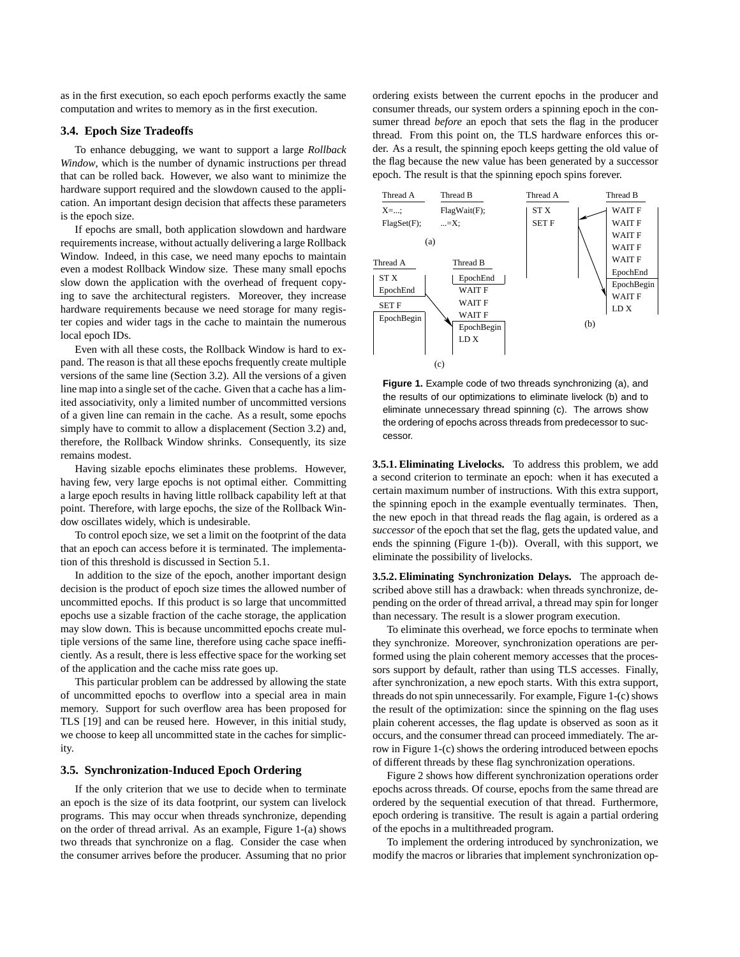as in the first execution, so each epoch performs exactly the same computation and writes to memory as in the first execution.

### **3.4. Epoch Size Tradeoffs**

To enhance debugging, we want to support a large *Rollback Window*, which is the number of dynamic instructions per thread that can be rolled back. However, we also want to minimize the hardware support required and the slowdown caused to the application. An important design decision that affects these parameters is the epoch size.

If epochs are small, both application slowdown and hardware requirements increase, without actually delivering a large Rollback Window. Indeed, in this case, we need many epochs to maintain even a modest Rollback Window size. These many small epochs slow down the application with the overhead of frequent copying to save the architectural registers. Moreover, they increase hardware requirements because we need storage for many register copies and wider tags in the cache to maintain the numerous local epoch IDs.

Even with all these costs, the Rollback Window is hard to expand. The reason is that all these epochs frequently create multiple versions of the same line (Section 3.2). All the versions of a given line map into a single set of the cache. Given that a cache has a limited associativity, only a limited number of uncommitted versions of a given line can remain in the cache. As a result, some epochs simply have to commit to allow a displacement (Section 3.2) and, therefore, the Rollback Window shrinks. Consequently, its size remains modest.

Having sizable epochs eliminates these problems. However, having few, very large epochs is not optimal either. Committing a large epoch results in having little rollback capability left at that point. Therefore, with large epochs, the size of the Rollback Window oscillates widely, which is undesirable.

To control epoch size, we set a limit on the footprint of the data that an epoch can access before it is terminated. The implementation of this threshold is discussed in Section 5.1.

In addition to the size of the epoch, another important design decision is the product of epoch size times the allowed number of uncommitted epochs. If this product is so large that uncommitted epochs use a sizable fraction of the cache storage, the application may slow down. This is because uncommitted epochs create multiple versions of the same line, therefore using cache space inefficiently. As a result, there is less effective space for the working set of the application and the cache miss rate goes up.

This particular problem can be addressed by allowing the state of uncommitted epochs to overflow into a special area in main memory. Support for such overflow area has been proposed for TLS [19] and can be reused here. However, in this initial study, we choose to keep all uncommitted state in the caches for simplicity.

#### **3.5. Synchronization-Induced Epoch Ordering**

If the only criterion that we use to decide when to terminate an epoch is the size of its data footprint, our system can livelock programs. This may occur when threads synchronize, depending on the order of thread arrival. As an example, Figure 1-(a) shows two threads that synchronize on a flag. Consider the case when the consumer arrives before the producer. Assuming that no prior

ordering exists between the current epochs in the producer and consumer threads, our system orders a spinning epoch in the consumer thread *before* an epoch that sets the flag in the producer thread. From this point on, the TLS hardware enforces this order. As a result, the spinning epoch keeps getting the old value of the flag because the new value has been generated by a successor epoch. The result is that the spinning epoch spins forever.



**Figure 1.** Example code of two threads synchronizing (a), and the results of our optimizations to eliminate livelock (b) and to eliminate unnecessary thread spinning (c). The arrows show the ordering of epochs across threads from predecessor to successor.

**3.5.1. Eliminating Livelocks.** To address this problem, we add a second criterion to terminate an epoch: when it has executed a certain maximum number of instructions. With this extra support, the spinning epoch in the example eventually terminates. Then, the new epoch in that thread reads the flag again, is ordered as a *successor* of the epoch that set the flag, gets the updated value, and ends the spinning (Figure 1-(b)). Overall, with this support, we eliminate the possibility of livelocks.

**3.5.2. Eliminating Synchronization Delays.** The approach described above still has a drawback: when threads synchronize, depending on the order of thread arrival, a thread may spin for longer than necessary. The result is a slower program execution.

To eliminate this overhead, we force epochs to terminate when they synchronize. Moreover, synchronization operations are performed using the plain coherent memory accesses that the processors support by default, rather than using TLS accesses. Finally, after synchronization, a new epoch starts. With this extra support, threads do not spin unnecessarily. For example, Figure 1-(c) shows the result of the optimization: since the spinning on the flag uses plain coherent accesses, the flag update is observed as soon as it occurs, and the consumer thread can proceed immediately. The arrow in Figure 1-(c) shows the ordering introduced between epochs of different threads by these flag synchronization operations.

Figure 2 shows how different synchronization operations order epochs across threads. Of course, epochs from the same thread are ordered by the sequential execution of that thread. Furthermore, epoch ordering is transitive. The result is again a partial ordering of the epochs in a multithreaded program.

To implement the ordering introduced by synchronization, we modify the macros or libraries that implement synchronization op-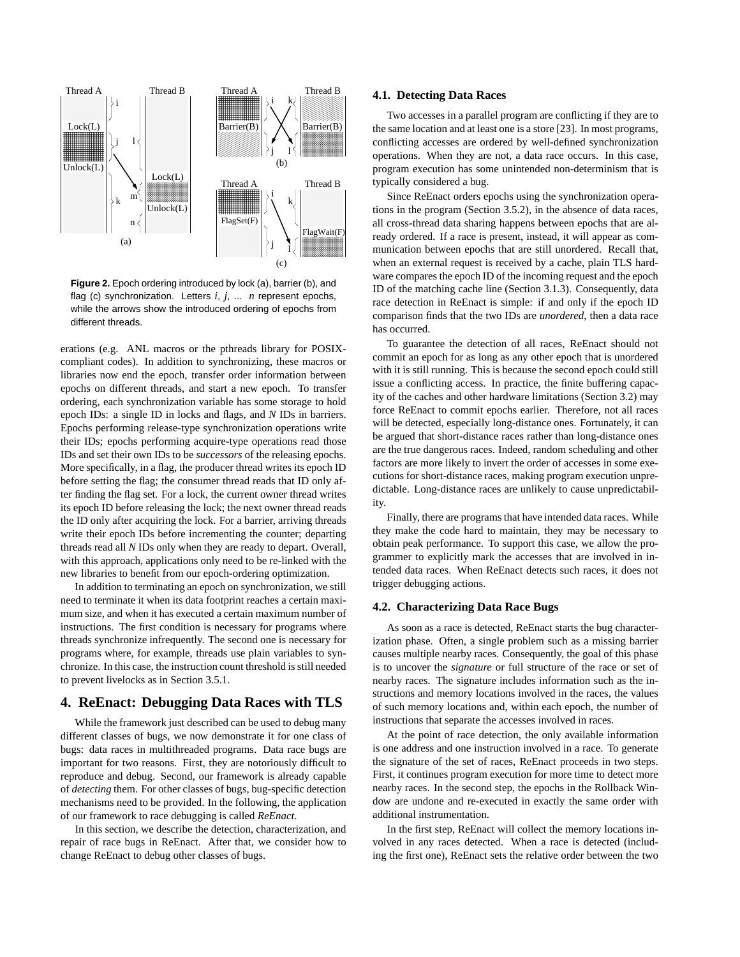

**Figure 2.** Epoch ordering introduced by lock (a), barrier (b), and flag (c) synchronization. Letters *i*, *j*, ... *n* represent epochs, while the arrows show the introduced ordering of epochs from different threads.

erations (e.g. ANL macros or the pthreads library for POSIXcompliant codes). In addition to synchronizing, these macros or libraries now end the epoch, transfer order information between epochs on different threads, and start a new epoch. To transfer ordering, each synchronization variable has some storage to hold epoch IDs: a single ID in locks and flags, and *N* IDs in barriers. Epochs performing release-type synchronization operations write their IDs; epochs performing acquire-type operations read those IDs and set their own IDs to be *successors* of the releasing epochs. More specifically, in a flag, the producer thread writes its epoch ID before setting the flag; the consumer thread reads that ID only after finding the flag set. For a lock, the current owner thread writes its epoch ID before releasing the lock; the next owner thread reads the ID only after acquiring the lock. For a barrier, arriving threads write their epoch IDs before incrementing the counter; departing threads read all *N* IDs only when they are ready to depart. Overall, with this approach, applications only need to be re-linked with the new libraries to benefit from our epoch-ordering optimization.

In addition to terminating an epoch on synchronization, we still need to terminate it when its data footprint reaches a certain maximum size, and when it has executed a certain maximum number of instructions. The first condition is necessary for programs where threads synchronize infrequently. The second one is necessary for programs where, for example, threads use plain variables to synchronize. In this case, the instruction count threshold is still needed to prevent livelocks as in Section 3.5.1.

# **4. ReEnact: Debugging Data Races with TLS**

While the framework just described can be used to debug many different classes of bugs, we now demonstrate it for one class of bugs: data races in multithreaded programs. Data race bugs are important for two reasons. First, they are notoriously difficult to reproduce and debug. Second, our framework is already capable of *detecting* them. For other classes of bugs, bug-specific detection mechanisms need to be provided. In the following, the application of our framework to race debugging is called *ReEnact*.

In this section, we describe the detection, characterization, and repair of race bugs in ReEnact. After that, we consider how to change ReEnact to debug other classes of bugs.

### **4.1. Detecting Data Races**

**Two accesses in a parallel program are conflicting if they are to**  $\begin{bmatrix} \frac{1}{2} & \frac{1}{2} & \frac{1}{2} & \frac{1}{2} & \frac{1}{2} & \frac{1}{2} & \frac{1}{2} & \frac{1}{2} & \frac{1}{2} & \frac{1}{2} \\ \frac{1}{2} & \frac{1}{2} & \frac{1}{2} & \frac{1}{2} & \frac{1}{2} & \frac{1}{2} & \frac{1}{2} & \frac{1}{2} & \frac{1}{2} & \frac{1}{2} \\ \frac{1}{2} & \frac{1}{2} & \frac{1}{2} & \frac{1}{2} & \frac{1}{2} & \frac{1}{2} & \frac{1}{2$ **INSERVISION** 6 operations. When they are not, a data race occurs. In this case,  $\vert$  Barrier(B) the same location and at least one is a store [23]. In most programs, program execution has some unintended non-determinism that is typically considered a bug.

munication between epochs that are still unordered. Recall that, ready ordered. If a race is present, instead, it will appear as com-Since ReEnact orders epochs using the synchronization operations in the program (Section 3.5.2), in the absence of data races, all cross-thread data sharing happens between epochs that are alwhen an external request is received by a cache, plain TLS hardware compares the epoch ID of the incoming request and the epoch ID of the matching cache line (Section 3.1.3). Consequently, data race detection in ReEnact is simple: if and only if the epoch ID comparison finds that the two IDs are *unordered*, then a data race has occurred.

> To guarantee the detection of all races, ReEnact should not commit an epoch for as long as any other epoch that is unordered with it is still running. This is because the second epoch could still issue a conflicting access. In practice, the finite buffering capacity of the caches and other hardware limitations (Section 3.2) may force ReEnact to commit epochs earlier. Therefore, not all races will be detected, especially long-distance ones. Fortunately, it can be argued that short-distance races rather than long-distance ones are the true dangerous races. Indeed, random scheduling and other factors are more likely to invert the order of accesses in some executions for short-distance races, making program execution unpredictable. Long-distance races are unlikely to cause unpredictability.

> Finally, there are programs that have intended data races. While they make the code hard to maintain, they may be necessary to obtain peak performance. To support this case, we allow the programmer to explicitly mark the accesses that are involved in intended data races. When ReEnact detects such races, it does not trigger debugging actions.

## **4.2. Characterizing Data Race Bugs**

As soon as a race is detected, ReEnact starts the bug characterization phase. Often, a single problem such as a missing barrier causes multiple nearby races. Consequently, the goal of this phase is to uncover the *signature* or full structure of the race or set of nearby races. The signature includes information such as the instructions and memory locations involved in the races, the values of such memory locations and, within each epoch, the number of instructions that separate the accesses involved in races.

At the point of race detection, the only available information is one address and one instruction involved in a race. To generate the signature of the set of races, ReEnact proceeds in two steps. First, it continues program execution for more time to detect more nearby races. In the second step, the epochs in the Rollback Window are undone and re-executed in exactly the same order with additional instrumentation.

In the first step, ReEnact will collect the memory locations involved in any races detected. When a race is detected (including the first one), ReEnact sets the relative order between the two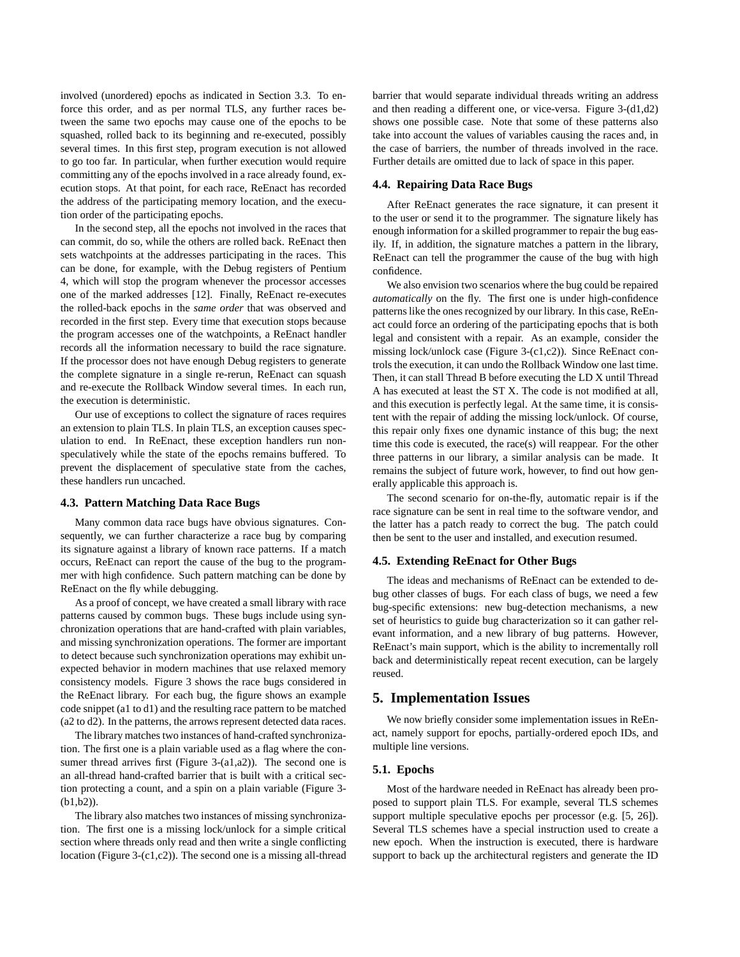involved (unordered) epochs as indicated in Section 3.3. To enforce this order, and as per normal TLS, any further races between the same two epochs may cause one of the epochs to be squashed, rolled back to its beginning and re-executed, possibly several times. In this first step, program execution is not allowed to go too far. In particular, when further execution would require committing any of the epochs involved in a race already found, execution stops. At that point, for each race, ReEnact has recorded the address of the participating memory location, and the execution order of the participating epochs.

In the second step, all the epochs not involved in the races that can commit, do so, while the others are rolled back. ReEnact then sets watchpoints at the addresses participating in the races. This can be done, for example, with the Debug registers of Pentium 4, which will stop the program whenever the processor accesses one of the marked addresses [12]. Finally, ReEnact re-executes the rolled-back epochs in the *same order* that was observed and recorded in the first step. Every time that execution stops because the program accesses one of the watchpoints, a ReEnact handler records all the information necessary to build the race signature. If the processor does not have enough Debug registers to generate the complete signature in a single re-rerun, ReEnact can squash and re-execute the Rollback Window several times. In each run, the execution is deterministic.

Our use of exceptions to collect the signature of races requires an extension to plain TLS. In plain TLS, an exception causes speculation to end. In ReEnact, these exception handlers run nonspeculatively while the state of the epochs remains buffered. To prevent the displacement of speculative state from the caches, these handlers run uncached.

### **4.3. Pattern Matching Data Race Bugs**

Many common data race bugs have obvious signatures. Consequently, we can further characterize a race bug by comparing its signature against a library of known race patterns. If a match occurs, ReEnact can report the cause of the bug to the programmer with high confidence. Such pattern matching can be done by ReEnact on the fly while debugging.

As a proof of concept, we have created a small library with race patterns caused by common bugs. These bugs include using synchronization operations that are hand-crafted with plain variables, and missing synchronization operations. The former are important to detect because such synchronization operations may exhibit unexpected behavior in modern machines that use relaxed memory consistency models. Figure 3 shows the race bugs considered in the ReEnact library. For each bug, the figure shows an example code snippet (a1 to d1) and the resulting race pattern to be matched (a2 to d2). In the patterns, the arrows represent detected data races.

The library matches two instances of hand-crafted synchronization. The first one is a plain variable used as a flag where the consumer thread arrives first (Figure 3-(a1,a2)). The second one is an all-thread hand-crafted barrier that is built with a critical section protecting a count, and a spin on a plain variable (Figure 3- (b1,b2)).

The library also matches two instances of missing synchronization. The first one is a missing lock/unlock for a simple critical section where threads only read and then write a single conflicting location (Figure 3-(c1,c2)). The second one is a missing all-thread barrier that would separate individual threads writing an address and then reading a different one, or vice-versa. Figure 3-(d1,d2) shows one possible case. Note that some of these patterns also take into account the values of variables causing the races and, in the case of barriers, the number of threads involved in the race. Further details are omitted due to lack of space in this paper.

## **4.4. Repairing Data Race Bugs**

After ReEnact generates the race signature, it can present it to the user or send it to the programmer. The signature likely has enough information for a skilled programmer to repair the bug easily. If, in addition, the signature matches a pattern in the library, ReEnact can tell the programmer the cause of the bug with high confidence.

We also envision two scenarios where the bug could be repaired *automatically* on the fly. The first one is under high-confidence patterns like the ones recognized by our library. In this case, ReEnact could force an ordering of the participating epochs that is both legal and consistent with a repair. As an example, consider the missing lock/unlock case (Figure 3-(c1,c2)). Since ReEnact controls the execution, it can undo the Rollback Window one last time. Then, it can stall Thread B before executing the LD X until Thread A has executed at least the ST X. The code is not modified at all, and this execution is perfectly legal. At the same time, it is consistent with the repair of adding the missing lock/unlock. Of course, this repair only fixes one dynamic instance of this bug; the next time this code is executed, the race(s) will reappear. For the other three patterns in our library, a similar analysis can be made. It remains the subject of future work, however, to find out how generally applicable this approach is.

The second scenario for on-the-fly, automatic repair is if the race signature can be sent in real time to the software vendor, and the latter has a patch ready to correct the bug. The patch could then be sent to the user and installed, and execution resumed.

#### **4.5. Extending ReEnact for Other Bugs**

The ideas and mechanisms of ReEnact can be extended to debug other classes of bugs. For each class of bugs, we need a few bug-specific extensions: new bug-detection mechanisms, a new set of heuristics to guide bug characterization so it can gather relevant information, and a new library of bug patterns. However, ReEnact's main support, which is the ability to incrementally roll back and deterministically repeat recent execution, can be largely reused.

# **5. Implementation Issues**

We now briefly consider some implementation issues in ReEnact, namely support for epochs, partially-ordered epoch IDs, and multiple line versions.

## **5.1. Epochs**

Most of the hardware needed in ReEnact has already been proposed to support plain TLS. For example, several TLS schemes support multiple speculative epochs per processor (e.g. [5, 26]). Several TLS schemes have a special instruction used to create a new epoch. When the instruction is executed, there is hardware support to back up the architectural registers and generate the ID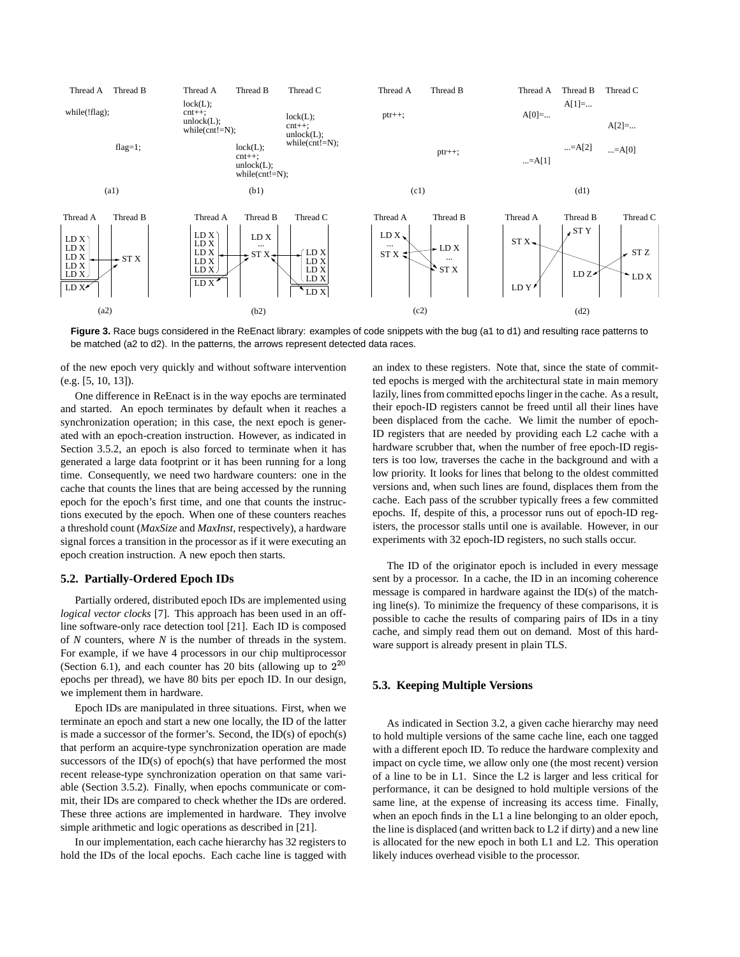

**Figure 3.** Race bugs considered in the ReEnact library: examples of code snippets with the bug (a1 to d1) and resulting race patterns to be matched (a2 to d2). In the patterns, the arrows represent detected data races.

of the new epoch very quickly and without software intervention (e.g. [5, 10, 13]).

One difference in ReEnact is in the way epochs are terminated and started. An epoch terminates by default when it reaches a synchronization operation; in this case, the next epoch is generated with an epoch-creation instruction. However, as indicated in Section 3.5.2, an epoch is also forced to terminate when it has generated a large data footprint or it has been running for a long time. Consequently, we need two hardware counters: one in the cache that counts the lines that are being accessed by the running epoch for the epoch's first time, and one that counts the instructions executed by the epoch. When one of these counters reaches a threshold count (*MaxSize* and *MaxInst*, respectively), a hardware signal forces a transition in the processor as if it were executing an epoch creation instruction. A new epoch then starts.

#### **5.2. Partially-Ordered Epoch IDs**

Partially ordered, distributed epoch IDs are implemented using *logical vector clocks* [7]. This approach has been used in an offline software-only race detection tool [21]. Each ID is composed of *N* counters, where *N* is the number of threads in the system. For example, if we have 4 processors in our chip multiprocessor (Section 6.1), and each counter has 20 bits (allowing up to  $2^{20}$ epochs per thread), we have 80 bits per epoch ID. In our design, we implement them in hardware.

Epoch IDs are manipulated in three situations. First, when we terminate an epoch and start a new one locally, the ID of the latter is made a successor of the former's. Second, the ID(s) of epoch(s) that perform an acquire-type synchronization operation are made successors of the  $ID(s)$  of epoch $(s)$  that have performed the most recent release-type synchronization operation on that same variable (Section 3.5.2). Finally, when epochs communicate or commit, their IDs are compared to check whether the IDs are ordered. These three actions are implemented in hardware. They involve simple arithmetic and logic operations as described in [21].

In our implementation, each cache hierarchy has 32 registers to hold the IDs of the local epochs. Each cache line is tagged with

an index to these registers. Note that, since the state of committed epochs is merged with the architectural state in main memory lazily, lines from committed epochs linger in the cache. As a result, their epoch-ID registers cannot be freed until all their lines have been displaced from the cache. We limit the number of epoch-ID registers that are needed by providing each L2 cache with a hardware scrubber that, when the number of free epoch-ID registers is too low, traverses the cache in the background and with a low priority. It looks for lines that belong to the oldest committed versions and, when such lines are found, displaces them from the cache. Each pass of the scrubber typically frees a few committed epochs. If, despite of this, a processor runs out of epoch-ID registers, the processor stalls until one is available. However, in our experiments with 32 epoch-ID registers, no such stalls occur.

The ID of the originator epoch is included in every message sent by a processor. In a cache, the ID in an incoming coherence message is compared in hardware against the ID(s) of the matching line(s). To minimize the frequency of these comparisons, it is possible to cache the results of comparing pairs of IDs in a tiny cache, and simply read them out on demand. Most of this hardware support is already present in plain TLS.

## **5.3. Keeping Multiple Versions**

As indicated in Section 3.2, a given cache hierarchy may need to hold multiple versions of the same cache line, each one tagged with a different epoch ID. To reduce the hardware complexity and impact on cycle time, we allow only one (the most recent) version of a line to be in L1. Since the L2 is larger and less critical for performance, it can be designed to hold multiple versions of the same line, at the expense of increasing its access time. Finally, when an epoch finds in the L1 a line belonging to an older epoch, the line is displaced (and written back to L2 if dirty) and a new line is allocated for the new epoch in both L1 and L2. This operation likely induces overhead visible to the processor.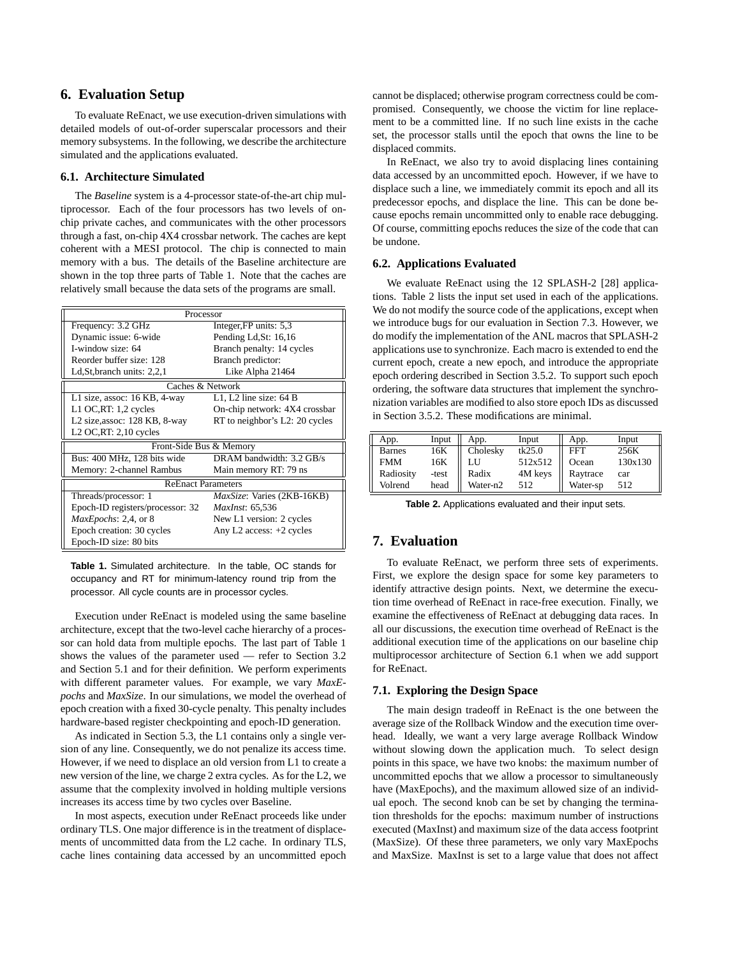# **6. Evaluation Setup**

To evaluate ReEnact, we use execution-driven simulations with detailed models of out-of-order superscalar processors and their memory subsystems. In the following, we describe the architecture simulated and the applications evaluated.

# **6.1. Architecture Simulated**

The *Baseline* system is a 4-processor state-of-the-art chip multiprocessor. Each of the four processors has two levels of onchip private caches, and communicates with the other processors through a fast, on-chip 4X4 crossbar network. The caches are kept coherent with a MESI protocol. The chip is connected to main memory with a bus. The details of the Baseline architecture are shown in the top three parts of Table 1. Note that the caches are relatively small because the data sets of the programs are small.

| Processor                                 |                                |  |  |  |  |  |
|-------------------------------------------|--------------------------------|--|--|--|--|--|
| Frequency: 3.2 GHz                        | Integer, FP units: 5,3         |  |  |  |  |  |
| Dynamic issue: 6-wide                     | Pending Ld, St: 16, 16         |  |  |  |  |  |
| I-window size: 64                         | Branch penalty: 14 cycles      |  |  |  |  |  |
| Reorder buffer size: 128                  | Branch predictor:              |  |  |  |  |  |
| Ld, St, branch units: $2,2,1$             | Like Alpha 21464               |  |  |  |  |  |
| Caches & Network                          |                                |  |  |  |  |  |
| L1 size, assoc: 16 KB, 4-way              | L1, L2 line size: $64B$        |  |  |  |  |  |
| L1 OC, RT: $1,2$ cycles                   | On-chip network: 4X4 crossbar  |  |  |  |  |  |
| L <sub>2</sub> size, assoc: 128 KB, 8-way | RT to neighbor's L2: 20 cycles |  |  |  |  |  |
| L2 OC, RT: $2,10$ cycles                  |                                |  |  |  |  |  |
|                                           | Front-Side Bus & Memory        |  |  |  |  |  |
| Bus: 400 MHz, 128 bits wide               | DRAM bandwidth: 3.2 GB/s       |  |  |  |  |  |
| Memory: 2-channel Rambus                  | Main memory RT: 79 ns          |  |  |  |  |  |
| <b>ReEnact Parameters</b>                 |                                |  |  |  |  |  |
| Threads/processor: 1                      | MaxSize: Varies (2KB-16KB)     |  |  |  |  |  |
| Epoch-ID registers/processor: 32          | <i>MaxInst</i> : 65,536        |  |  |  |  |  |
| MaxEpochs: 2,4, or 8                      | New L1 version: 2 cycles       |  |  |  |  |  |
| Epoch creation: 30 cycles                 | Any L2 access: $+2$ cycles     |  |  |  |  |  |
| Epoch-ID size: 80 bits                    |                                |  |  |  |  |  |

**Table 1.** Simulated architecture. In the table, OC stands for occupancy and RT for minimum-latency round trip from the processor. All cycle counts are in processor cycles.

Execution under ReEnact is modeled using the same baseline architecture, except that the two-level cache hierarchy of a processor can hold data from multiple epochs. The last part of Table 1 shows the values of the parameter used — refer to Section 3.2 and Section 5.1 and for their definition. We perform experiments with different parameter values. For example, we vary *MaxEpochs* and *MaxSize*. In our simulations, we model the overhead of epoch creation with a fixed 30-cycle penalty. This penalty includes hardware-based register checkpointing and epoch-ID generation.

As indicated in Section 5.3, the L1 contains only a single version of any line. Consequently, we do not penalize its access time. However, if we need to displace an old version from L1 to create a new version of the line, we charge 2 extra cycles. As for the L2, we assume that the complexity involved in holding multiple versions increases its access time by two cycles over Baseline.

In most aspects, execution under ReEnact proceeds like under ordinary TLS. One major difference is in the treatment of displacements of uncommitted data from the L2 cache. In ordinary TLS, cache lines containing data accessed by an uncommitted epoch

cannot be displaced; otherwise program correctness could be compromised. Consequently, we choose the victim for line replacement to be a committed line. If no such line exists in the cache set, the processor stalls until the epoch that owns the line to be displaced commits.

In ReEnact, we also try to avoid displacing lines containing data accessed by an uncommitted epoch. However, if we have to displace such a line, we immediately commit its epoch and all its predecessor epochs, and displace the line. This can be done because epochs remain uncommitted only to enable race debugging. Of course, committing epochs reduces the size of the code that can be undone.

## **6.2. Applications Evaluated**

We evaluate ReEnact using the 12 SPLASH-2 [28] applications. Table 2 lists the input set used in each of the applications. We do not modify the source code of the applications, except when we introduce bugs for our evaluation in Section 7.3. However, we do modify the implementation of the ANL macros that SPLASH-2 applications use to synchronize. Each macro is extended to end the current epoch, create a new epoch, and introduce the appropriate epoch ordering described in Section 3.5.2. To support such epoch ordering, the software data structures that implement the synchronization variables are modified to also store epoch IDs as discussed in Section 3.5.2. These modifications are minimal.

| App.          | Input | App.     | Input   | App.     | Input   |
|---------------|-------|----------|---------|----------|---------|
| <b>Barnes</b> | 16K   | Cholesky | tk25.0  | FFT      | 256K    |
| <b>FMM</b>    | 16K   | LU       | 512x512 | Ocean    | 130x130 |
| Radiosity     | -test | Radix    | 4M keys | Raytrace | car     |
| Volrend       | head  | Water-n2 | 512     | Water-sp | 512     |

**Table 2.** Applications evaluated and their input sets.

# **7. Evaluation**

To evaluate ReEnact, we perform three sets of experiments. First, we explore the design space for some key parameters to identify attractive design points. Next, we determine the execution time overhead of ReEnact in race-free execution. Finally, we examine the effectiveness of ReEnact at debugging data races. In all our discussions, the execution time overhead of ReEnact is the additional execution time of the applications on our baseline chip multiprocessor architecture of Section 6.1 when we add support for ReEnact.

### **7.1. Exploring the Design Space**

The main design tradeoff in ReEnact is the one between the average size of the Rollback Window and the execution time overhead. Ideally, we want a very large average Rollback Window without slowing down the application much. To select design points in this space, we have two knobs: the maximum number of uncommitted epochs that we allow a processor to simultaneously have (MaxEpochs), and the maximum allowed size of an individual epoch. The second knob can be set by changing the termination thresholds for the epochs: maximum number of instructions executed (MaxInst) and maximum size of the data access footprint (MaxSize). Of these three parameters, we only vary MaxEpochs and MaxSize. MaxInst is set to a large value that does not affect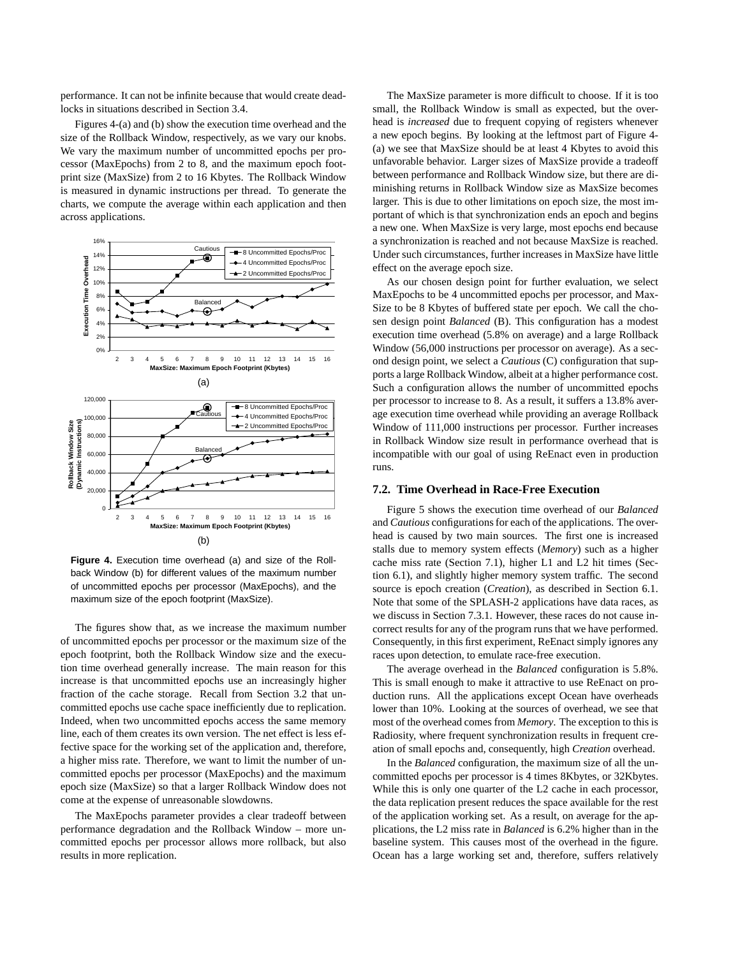performance. It can not be infinite because that would create deadlocks in situations described in Section 3.4.

Figures 4-(a) and (b) show the execution time overhead and the size of the Rollback Window, respectively, as we vary our knobs. We vary the maximum number of uncommitted epochs per processor (MaxEpochs) from 2 to 8, and the maximum epoch footprint size (MaxSize) from 2 to 16 Kbytes. The Rollback Window is measured in dynamic instructions per thread. To generate the charts, we compute the average within each application and then across applications.



**Figure 4.** Execution time overhead (a) and size of the Rollback Window (b) for different values of the maximum number of uncommitted epochs per processor (MaxEpochs), and the maximum size of the epoch footprint (MaxSize).

The figures show that, as we increase the maximum number of uncommitted epochs per processor or the maximum size of the epoch footprint, both the Rollback Window size and the execution time overhead generally increase. The main reason for this increase is that uncommitted epochs use an increasingly higher fraction of the cache storage. Recall from Section 3.2 that uncommitted epochs use cache space inefficiently due to replication. Indeed, when two uncommitted epochs access the same memory line, each of them creates its own version. The net effect is less effective space for the working set of the application and, therefore, a higher miss rate. Therefore, we want to limit the number of uncommitted epochs per processor (MaxEpochs) and the maximum epoch size (MaxSize) so that a larger Rollback Window does not come at the expense of unreasonable slowdowns.

The MaxEpochs parameter provides a clear tradeoff between performance degradation and the Rollback Window – more uncommitted epochs per processor allows more rollback, but also results in more replication.

The MaxSize parameter is more difficult to choose. If it is too small, the Rollback Window is small as expected, but the overhead is *increased* due to frequent copying of registers whenever a new epoch begins. By looking at the leftmost part of Figure 4- (a) we see that MaxSize should be at least 4 Kbytes to avoid this unfavorable behavior. Larger sizes of MaxSize provide a tradeoff between performance and Rollback Window size, but there are diminishing returns in Rollback Window size as MaxSize becomes larger. This is due to other limitations on epoch size, the most important of which is that synchronization ends an epoch and begins a new one. When MaxSize is very large, most epochs end because a synchronization is reached and not because MaxSize is reached. Under such circumstances, further increases in MaxSize have little effect on the average epoch size.

As our chosen design point for further evaluation, we select MaxEpochs to be 4 uncommitted epochs per processor, and Max-Size to be 8 Kbytes of buffered state per epoch. We call the chosen design point *Balanced* (B). This configuration has a modest execution time overhead (5.8% on average) and a large Rollback Window (56,000 instructions per processor on average). As a second design point, we select a *Cautious* (C) configuration that supports a large Rollback Window, albeit at a higher performance cost. Such a configuration allows the number of uncommitted epochs per processor to increase to 8. As a result, it suffers a 13.8% average execution time overhead while providing an average Rollback Window of 111,000 instructions per processor. Further increases in Rollback Window size result in performance overhead that is incompatible with our goal of using ReEnact even in production runs.

### **7.2. Time Overhead in Race-Free Execution**

Figure 5 shows the execution time overhead of our *Balanced* and *Cautious* configurations for each of the applications. The overhead is caused by two main sources. The first one is increased stalls due to memory system effects (*Memory*) such as a higher cache miss rate (Section 7.1), higher L1 and L2 hit times (Section 6.1), and slightly higher memory system traffic. The second source is epoch creation (*Creation*), as described in Section 6.1. Note that some of the SPLASH-2 applications have data races, as we discuss in Section 7.3.1. However, these races do not cause incorrect results for any of the program runs that we have performed. Consequently, in this first experiment, ReEnact simply ignores any races upon detection, to emulate race-free execution.

The average overhead in the *Balanced* configuration is 5.8%. This is small enough to make it attractive to use ReEnact on production runs. All the applications except Ocean have overheads lower than 10%. Looking at the sources of overhead, we see that most of the overhead comes from *Memory*. The exception to this is Radiosity, where frequent synchronization results in frequent creation of small epochs and, consequently, high *Creation* overhead.

In the *Balanced* configuration, the maximum size of all the uncommitted epochs per processor is 4 times 8Kbytes, or 32Kbytes. While this is only one quarter of the L2 cache in each processor, the data replication present reduces the space available for the rest of the application working set. As a result, on average for the applications, the L2 miss rate in *Balanced* is 6.2% higher than in the baseline system. This causes most of the overhead in the figure. Ocean has a large working set and, therefore, suffers relatively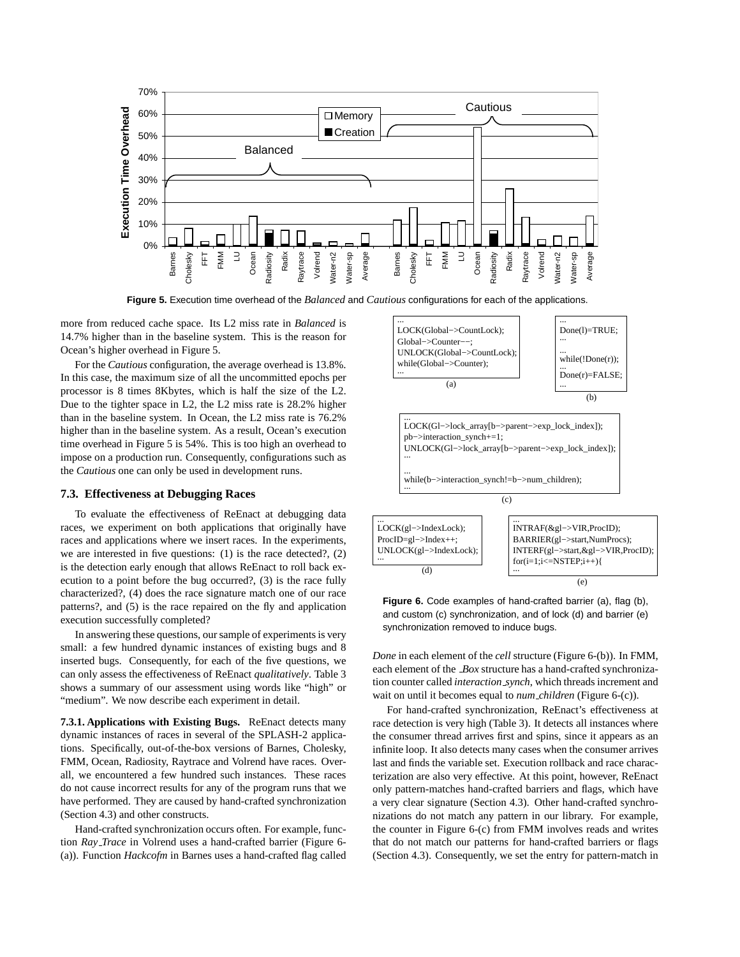

**Figure 5.** Execution time overhead of the *Balanced* and *Cautious* configurations for each of the applications.

more from reduced cache space. Its L2 miss rate in *Balanced* is 14.7% higher than in the baseline system. This is the reason for Ocean's higher overhead in Figure 5.

For the *Cautious* configuration, the average overhead is 13.8%. In this case, the maximum size of all the uncommitted epochs per processor is 8 times 8Kbytes, which is half the size of the L2. Due to the tighter space in L2, the L2 miss rate is 28.2% higher than in the baseline system. In Ocean, the L2 miss rate is 76.2% higher than in the baseline system. As a result, Ocean's execution time overhead in Figure 5 is 54%. This is too high an overhead to impose on a production run. Consequently, configurations such as the *Cautious* one can only be used in development runs.

### **7.3. Effectiveness at Debugging Races**

To evaluate the effectiveness of ReEnact at debugging data races, we experiment on both applications that originally have races and applications where we insert races. In the experiments, we are interested in five questions: (1) is the race detected?, (2) is the detection early enough that allows ReEnact to roll back execution to a point before the bug occurred?, (3) is the race fully characterized?, (4) does the race signature match one of our race patterns?, and (5) is the race repaired on the fly and application execution successfully completed?

In answering these questions, our sample of experiments is very small: a few hundred dynamic instances of existing bugs and 8 inserted bugs. Consequently, for each of the five questions, we can only assess the effectiveness of ReEnact *qualitatively*. Table 3 shows a summary of our assessment using words like "high" or "medium". We now describe each experiment in detail.

**7.3.1. Applications with Existing Bugs.** ReEnact detects many dynamic instances of races in several of the SPLASH-2 applications. Specifically, out-of-the-box versions of Barnes, Cholesky, FMM, Ocean, Radiosity, Raytrace and Volrend have races. Overall, we encountered a few hundred such instances. These races do not cause incorrect results for any of the program runs that we have performed. They are caused by hand-crafted synchronization (Section 4.3) and other constructs.

Hand-crafted synchronization occurs often. For example, function *Ray Trace* in Volrend uses a hand-crafted barrier (Figure 6- (a)). Function *Hackcofm* in Barnes uses a hand-crafted flag called



**Figure 6.** Code examples of hand-crafted barrier (a), flag (b), and custom (c) synchronization, and of lock (d) and barrier (e) synchronization removed to induce bugs.

*Done* in each element of the *cell* structure (Figure 6-(b)). In FMM, each element of the *Box* structure has a hand-crafted synchronization counter called *interaction synch*, which threads increment and wait on until it becomes equal to *num children* (Figure 6-(c)).

For hand-crafted synchronization, ReEnact's effectiveness at race detection is very high (Table 3). It detects all instances where the consumer thread arrives first and spins, since it appears as an infinite loop. It also detects many cases when the consumer arrives last and finds the variable set. Execution rollback and race characterization are also very effective. At this point, however, ReEnact only pattern-matches hand-crafted barriers and flags, which have a very clear signature (Section 4.3). Other hand-crafted synchronizations do not match any pattern in our library. For example, the counter in Figure 6-(c) from FMM involves reads and writes that do not match our patterns for hand-crafted barriers or flags (Section 4.3). Consequently, we set the entry for pattern-match in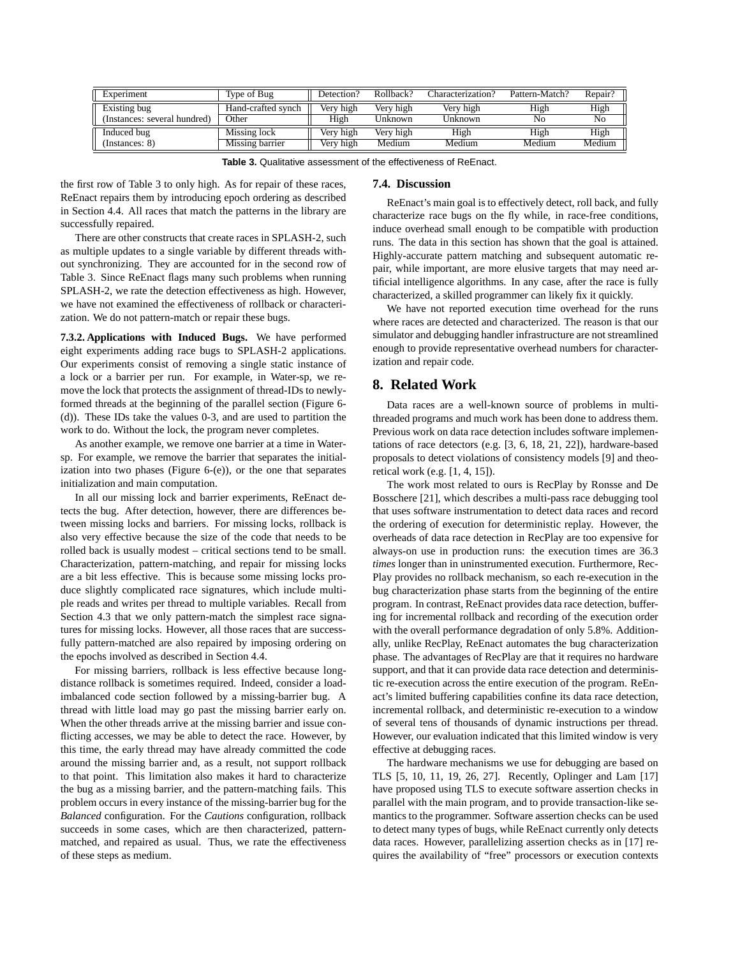| Experiment                   | Type of Bug        | Detection? | Rollback? | Characterization? | Pattern-Match? | Repair? |
|------------------------------|--------------------|------------|-----------|-------------------|----------------|---------|
| Existing bug                 | Hand-crafted synch | Very high  | Very high | Very high         | High           | High    |
| (Instances: several hundred) | Other              | High       | Unknown   | Unknown           | Nc             | No      |
| Induced bug                  | Missing lock       | Very high  | Verv high | High              | High           | High    |
| (Instances: 8)               | Missing barrier    | Very high  | Medium    | Medium            | Medium         | Medium  |

**Table 3.** Qualitative assessment of the effectiveness of ReEnact.

the first row of Table 3 to only high. As for repair of these races, ReEnact repairs them by introducing epoch ordering as described in Section 4.4. All races that match the patterns in the library are successfully repaired.

There are other constructs that create races in SPLASH-2, such as multiple updates to a single variable by different threads without synchronizing. They are accounted for in the second row of Table 3. Since ReEnact flags many such problems when running SPLASH-2, we rate the detection effectiveness as high. However, we have not examined the effectiveness of rollback or characterization. We do not pattern-match or repair these bugs.

**7.3.2. Applications with Induced Bugs.** We have performed eight experiments adding race bugs to SPLASH-2 applications. Our experiments consist of removing a single static instance of a lock or a barrier per run. For example, in Water-sp, we remove the lock that protects the assignment of thread-IDs to newlyformed threads at the beginning of the parallel section (Figure 6- (d)). These IDs take the values 0-3, and are used to partition the work to do. Without the lock, the program never completes.

As another example, we remove one barrier at a time in Watersp. For example, we remove the barrier that separates the initialization into two phases (Figure 6-(e)), or the one that separates initialization and main computation.

In all our missing lock and barrier experiments, ReEnact detects the bug. After detection, however, there are differences between missing locks and barriers. For missing locks, rollback is also very effective because the size of the code that needs to be rolled back is usually modest – critical sections tend to be small. Characterization, pattern-matching, and repair for missing locks are a bit less effective. This is because some missing locks produce slightly complicated race signatures, which include multiple reads and writes per thread to multiple variables. Recall from Section 4.3 that we only pattern-match the simplest race signatures for missing locks. However, all those races that are successfully pattern-matched are also repaired by imposing ordering on the epochs involved as described in Section 4.4.

For missing barriers, rollback is less effective because longdistance rollback is sometimes required. Indeed, consider a loadimbalanced code section followed by a missing-barrier bug. A thread with little load may go past the missing barrier early on. When the other threads arrive at the missing barrier and issue conflicting accesses, we may be able to detect the race. However, by this time, the early thread may have already committed the code around the missing barrier and, as a result, not support rollback to that point. This limitation also makes it hard to characterize the bug as a missing barrier, and the pattern-matching fails. This problem occurs in every instance of the missing-barrier bug for the *Balanced* configuration. For the *Cautions* configuration, rollback succeeds in some cases, which are then characterized, patternmatched, and repaired as usual. Thus, we rate the effectiveness of these steps as medium.

#### **7.4. Discussion**

ReEnact's main goal is to effectively detect, roll back, and fully characterize race bugs on the fly while, in race-free conditions, induce overhead small enough to be compatible with production runs. The data in this section has shown that the goal is attained. Highly-accurate pattern matching and subsequent automatic repair, while important, are more elusive targets that may need artificial intelligence algorithms. In any case, after the race is fully characterized, a skilled programmer can likely fix it quickly.

We have not reported execution time overhead for the runs where races are detected and characterized. The reason is that our simulator and debugging handler infrastructure are not streamlined enough to provide representative overhead numbers for characterization and repair code.

# **8. Related Work**

Data races are a well-known source of problems in multithreaded programs and much work has been done to address them. Previous work on data race detection includes software implementations of race detectors (e.g. [3, 6, 18, 21, 22]), hardware-based proposals to detect violations of consistency models [9] and theoretical work (e.g. [1, 4, 15]).

The work most related to ours is RecPlay by Ronsse and De Bosschere [21], which describes a multi-pass race debugging tool that uses software instrumentation to detect data races and record the ordering of execution for deterministic replay. However, the overheads of data race detection in RecPlay are too expensive for always-on use in production runs: the execution times are 36.3 *times* longer than in uninstrumented execution. Furthermore, Rec-Play provides no rollback mechanism, so each re-execution in the bug characterization phase starts from the beginning of the entire program. In contrast, ReEnact provides data race detection, buffering for incremental rollback and recording of the execution order with the overall performance degradation of only 5.8%. Additionally, unlike RecPlay, ReEnact automates the bug characterization phase. The advantages of RecPlay are that it requires no hardware support, and that it can provide data race detection and deterministic re-execution across the entire execution of the program. ReEnact's limited buffering capabilities confine its data race detection, incremental rollback, and deterministic re-execution to a window of several tens of thousands of dynamic instructions per thread. However, our evaluation indicated that this limited window is very effective at debugging races.

The hardware mechanisms we use for debugging are based on TLS [5, 10, 11, 19, 26, 27]. Recently, Oplinger and Lam [17] have proposed using TLS to execute software assertion checks in parallel with the main program, and to provide transaction-like semantics to the programmer. Software assertion checks can be used to detect many types of bugs, while ReEnact currently only detects data races. However, parallelizing assertion checks as in [17] requires the availability of "free" processors or execution contexts